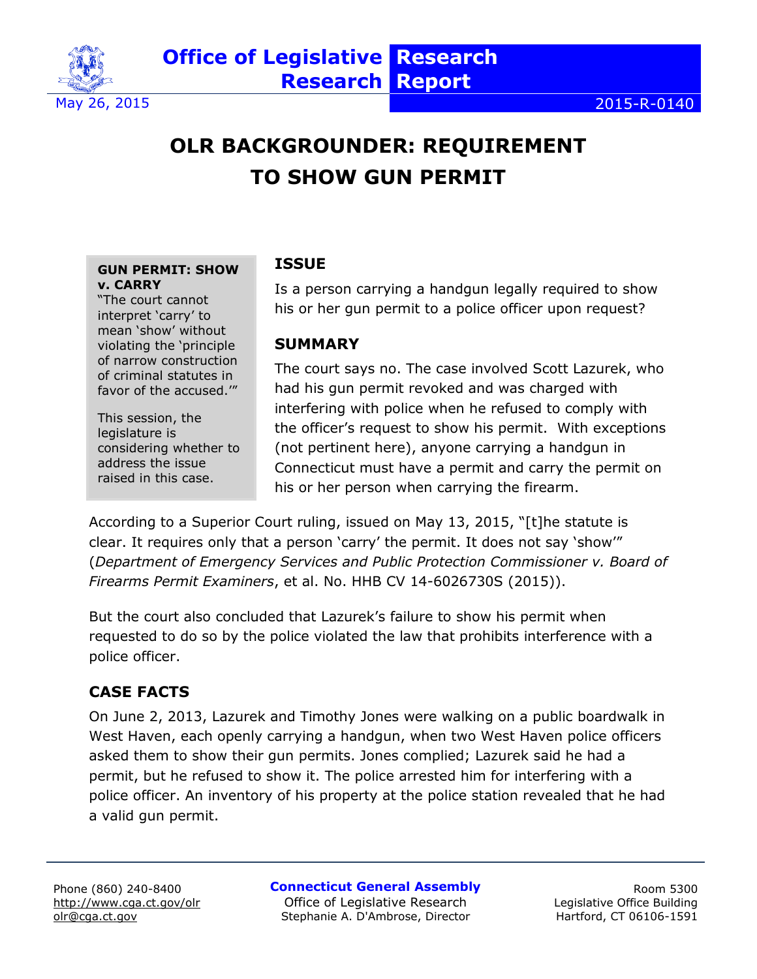

# **OLR BACKGROUNDER: REQUIREMENT TO SHOW GUN PERMIT**

#### **GUN PERMIT: SHOW v. CARRY**

"The court cannot interpret 'carry' to mean 'show' without violating the 'principle of narrow construction of criminal statutes in favor of the accused.'"

This session, the legislature is considering whether to address the issue raised in this case.

### **ISSUE**

Is a person carrying a handgun legally required to show his or her gun permit to a police officer upon request?

#### **SUMMARY**

The court says no. The case involved Scott Lazurek, who had his gun permit revoked and was charged with interfering with police when he refused to comply with the officer's request to show his permit. With exceptions (not pertinent here), anyone carrying a handgun in Connecticut must have a permit and carry the permit on his or her person when carrying the firearm.

According to a Superior Court ruling, issued on May 13, 2015, "[t]he statute is clear. It requires only that a person 'carry' the permit. It does not say 'show'" (*Department of Emergency Services and Public Protection Commissioner v. Board of Firearms Permit Examiners*, et al. No. HHB CV 14-6026730S (2015)).

But the court also concluded that Lazurek's failure to show his permit when requested to do so by the police violated the law that prohibits interference with a police officer.

# **CASE FACTS**

On June 2, 2013, Lazurek and Timothy Jones were walking on a public boardwalk in West Haven, each openly carrying a handgun, when two West Haven police officers asked them to show their gun permits. Jones complied; Lazurek said he had a permit, but he refused to show it. The police arrested him for interfering with a police officer. An inventory of his property at the police station revealed that he had a valid gun permit.

**Connecticut General Assembly**

Office of Legislative Research Stephanie A. D'Ambrose, Director

Room 5300 Legislative Office Building Hartford, CT 06106-1591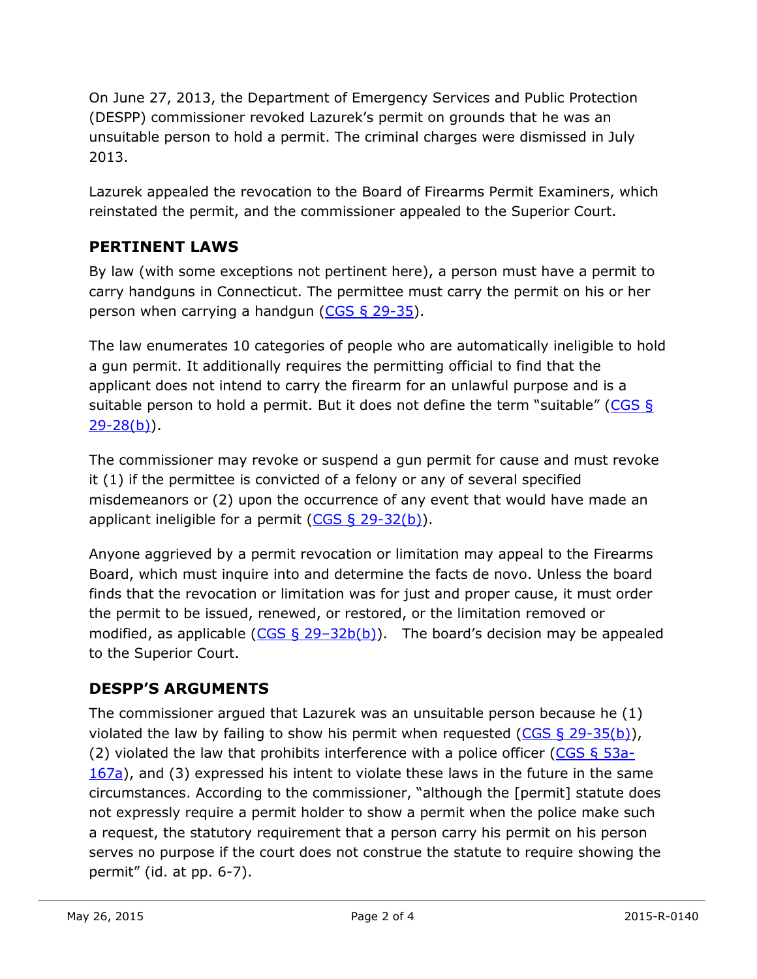On June 27, 2013, the Department of Emergency Services and Public Protection (DESPP) commissioner revoked Lazurek's permit on grounds that he was an unsuitable person to hold a permit. The criminal charges were dismissed in July 2013.

Lazurek appealed the revocation to the Board of Firearms Permit Examiners, which reinstated the permit, and the commissioner appealed to the Superior Court.

# **PERTINENT LAWS**

By law (with some exceptions not pertinent here), a person must have a permit to carry handguns in Connecticut. The permittee must carry the permit on his or her person when carrying a handgun  $(CGS \S 29-35)$ .

The law enumerates 10 categories of people who are automatically ineligible to hold a gun permit. It additionally requires the permitting official to find that the applicant does not intend to carry the firearm for an unlawful purpose and is a suitable person to hold a permit. But it does not define the term "suitable" (CGS  $\frac{1}{2}$  $29 - 28(b)$ .

The commissioner may revoke or suspend a gun permit for cause and must revoke it (1) if the permittee is convicted of a felony or any of several specified misdemeanors or (2) upon the occurrence of any event that would have made an applicant ineligible for a permit  $(CGS \S 29-32(b))$ .

Anyone aggrieved by a permit revocation or limitation may appeal to the Firearms Board, which must inquire into and determine the facts de novo. Unless the board finds that the revocation or limitation was for just and proper cause, it must order the permit to be issued, renewed, or restored, or the limitation removed or modified, as applicable  $(CGS \S 29-32b(b))$ . The board's decision may be appealed to the Superior Court.

# **DESPP'S ARGUMENTS**

The commissioner argued that Lazurek was an unsuitable person because he (1) violated the law by failing to show his permit when requested ( $CGS \S 29-35(b)$ ), (2) violated the law that prohibits interference with a police officer (CGS  $\S$  53a-[167a\)](http://cga.ct.gov/current/pub/chap_952.htm#sec_53a-167a), and (3) expressed his intent to violate these laws in the future in the same circumstances. According to the commissioner, "although the [permit] statute does not expressly require a permit holder to show a permit when the police make such a request, the statutory requirement that a person carry his permit on his person serves no purpose if the court does not construe the statute to require showing the permit" (id. at pp. 6-7).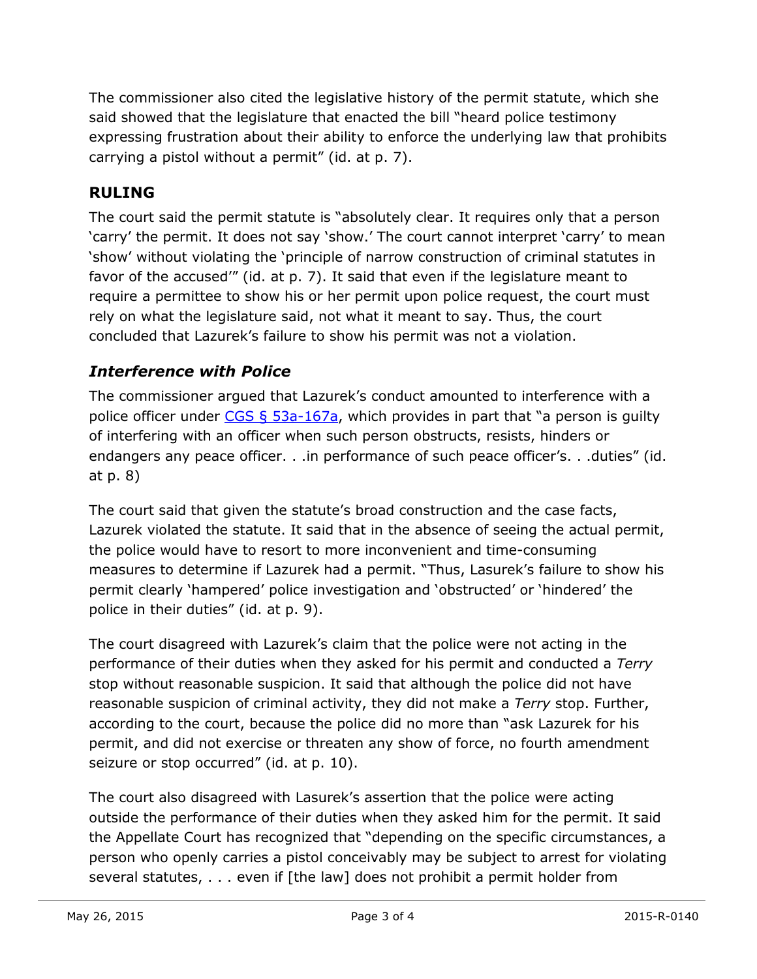The commissioner also cited the legislative history of the permit statute, which she said showed that the legislature that enacted the bill "heard police testimony expressing frustration about their ability to enforce the underlying law that prohibits carrying a pistol without a permit" (id. at p. 7).

## **RULING**

The court said the permit statute is "absolutely clear. It requires only that a person 'carry' the permit. It does not say 'show.' The court cannot interpret 'carry' to mean 'show' without violating the 'principle of narrow construction of criminal statutes in favor of the accused'" (id. at p. 7). It said that even if the legislature meant to require a permittee to show his or her permit upon police request, the court must rely on what the legislature said, not what it meant to say. Thus, the court concluded that Lazurek's failure to show his permit was not a violation.

### *Interference with Police*

The commissioner argued that Lazurek's conduct amounted to interference with a police officer under  $CGS \S 53a-167a$ , which provides in part that "a person is guilty of interfering with an officer when such person obstructs, resists, hinders or endangers any peace officer. . .in performance of such peace officer's. . .duties" (id. at p. 8)

The court said that given the statute's broad construction and the case facts, Lazurek violated the statute. It said that in the absence of seeing the actual permit, the police would have to resort to more inconvenient and time-consuming measures to determine if Lazurek had a permit. "Thus, Lasurek's failure to show his permit clearly 'hampered' police investigation and 'obstructed' or 'hindered' the police in their duties" (id. at p. 9).

The court disagreed with Lazurek's claim that the police were not acting in the performance of their duties when they asked for his permit and conducted a *Terry* stop without reasonable suspicion. It said that although the police did not have reasonable suspicion of criminal activity, they did not make a *Terry* stop. Further, according to the court, because the police did no more than "ask Lazurek for his permit, and did not exercise or threaten any show of force, no fourth amendment seizure or stop occurred" (id. at p. 10).

The court also disagreed with Lasurek's assertion that the police were acting outside the performance of their duties when they asked him for the permit. It said the Appellate Court has recognized that "depending on the specific circumstances, a person who openly carries a pistol conceivably may be subject to arrest for violating several statutes, . . . even if [the law] does not prohibit a permit holder from